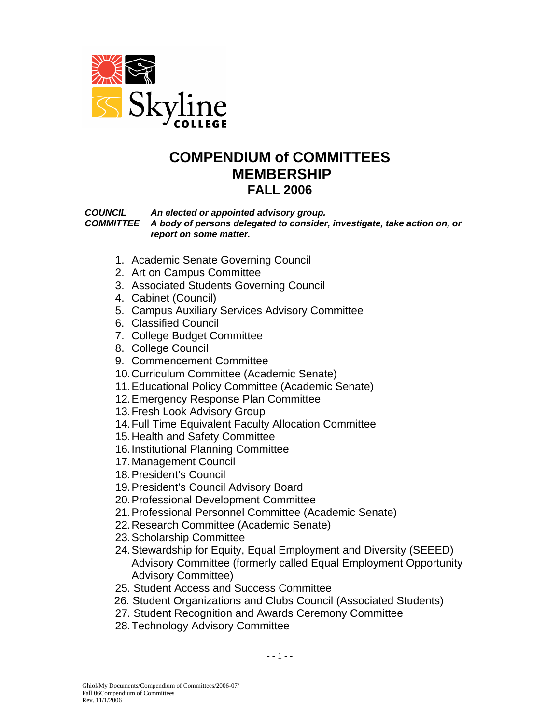

# **COMPENDIUM of COMMITTEES MEMBERSHIP FALL 2006**

 *COUNCIL An elected or appointed advisory group. COMMITTEE A body of persons delegated to consider, investigate, take action on, or report on some matter.* 

- 1. Academic Senate Governing Council
- 2. Art on Campus Committee
- 3. Associated Students Governing Council
- 4. Cabinet (Council)
- 5. Campus Auxiliary Services Advisory Committee
- 6. Classified Council
- 7. College Budget Committee
- 8. College Council
- 9. Commencement Committee
- 10. Curriculum Committee (Academic Senate)
- 11. Educational Policy Committee (Academic Senate)
- 12. Emergency Response Plan Committee
- 13. Fresh Look Advisory Group
- 14. Full Time Equivalent Faculty Allocation Committee
- 15. Health and Safety Committee
- 16. Institutional Planning Committee
- 17. Management Council
- 18. President's Council
- 19. President's Council Advisory Board
- 20. Professional Development Committee
- 21. Professional Personnel Committee (Academic Senate)
- 22. Research Committee (Academic Senate)
- 23. Scholarship Committee
- 24. Stewardship for Equity, Equal Employment and Diversity (SEEED) Advisory Committee (formerly called Equal Employment Opportunity Advisory Committee)
- 25. Student Access and Success Committee
- 26. Student Organizations and Clubs Council (Associated Students)
- 27. Student Recognition and Awards Ceremony Committee
- 28. Technology Advisory Committee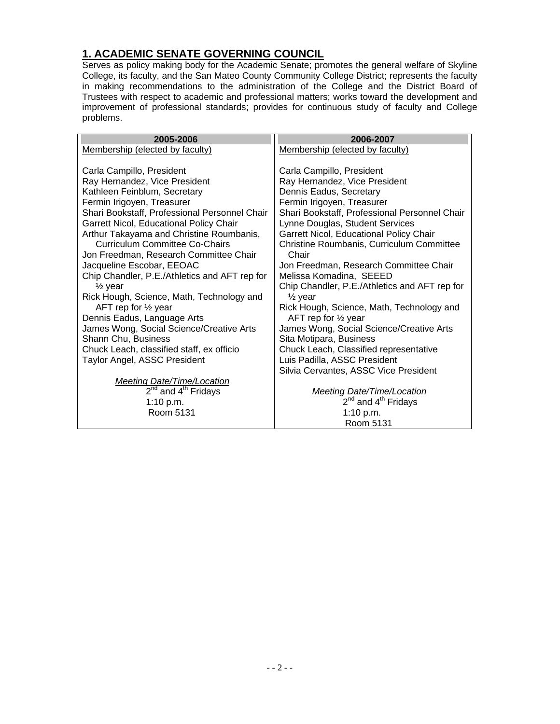# **1. ACADEMIC SENATE GOVERNING COUNCIL**

Serves as policy making body for the Academic Senate; promotes the general welfare of Skyline College, its faculty, and the San Mateo County Community College District; represents the faculty in making recommendations to the administration of the College and the District Board of Trustees with respect to academic and professional matters; works toward the development and improvement of professional standards; provides for continuous study of faculty and College problems.

| 2005-2006                                                       | 2006-2007                                                                |
|-----------------------------------------------------------------|--------------------------------------------------------------------------|
| Membership (elected by faculty)                                 | Membership (elected by faculty)                                          |
|                                                                 |                                                                          |
| Carla Campillo, President                                       | Carla Campillo, President                                                |
| Ray Hernandez, Vice President                                   | Ray Hernandez, Vice President                                            |
| Kathleen Feinblum, Secretary                                    | Dennis Eadus, Secretary                                                  |
| Fermin Irigoyen, Treasurer                                      | Fermin Irigoyen, Treasurer                                               |
| Shari Bookstaff, Professional Personnel Chair                   | Shari Bookstaff, Professional Personnel Chair                            |
| Garrett Nicol, Educational Policy Chair                         | Lynne Douglas, Student Services                                          |
| Arthur Takayama and Christine Roumbanis,                        | Garrett Nicol, Educational Policy Chair                                  |
| Curriculum Committee Co-Chairs                                  | Christine Roumbanis, Curriculum Committee                                |
| Jon Freedman, Research Committee Chair                          | Chair                                                                    |
| Jacqueline Escobar, EEOAC                                       | Jon Freedman, Research Committee Chair                                   |
| Chip Chandler, P.E./Athletics and AFT rep for                   | Melissa Komadina, SEEED<br>Chip Chandler, P.E./Athletics and AFT rep for |
| $\frac{1}{2}$ year<br>Rick Hough, Science, Math, Technology and | $\frac{1}{2}$ year                                                       |
| AFT rep for $\frac{1}{2}$ year                                  | Rick Hough, Science, Math, Technology and                                |
| Dennis Eadus, Language Arts                                     | AFT rep for $\frac{1}{2}$ year                                           |
| James Wong, Social Science/Creative Arts                        | James Wong, Social Science/Creative Arts                                 |
| Shann Chu, Business                                             | Sita Motipara, Business                                                  |
| Chuck Leach, classified staff, ex officio                       | Chuck Leach, Classified representative                                   |
| Taylor Angel, ASSC President                                    | Luis Padilla, ASSC President                                             |
|                                                                 | Silvia Cervantes, ASSC Vice President                                    |
| <b>Meeting Date/Time/Location</b>                               |                                                                          |
| $2nd$ and $4th$ Fridays                                         | <b>Meeting Date/Time/Location</b>                                        |
| 1:10 p.m.                                                       | $2nd$ and $4th$ Fridays                                                  |
| Room 5131                                                       | 1:10 p.m.                                                                |
|                                                                 | Room 5131                                                                |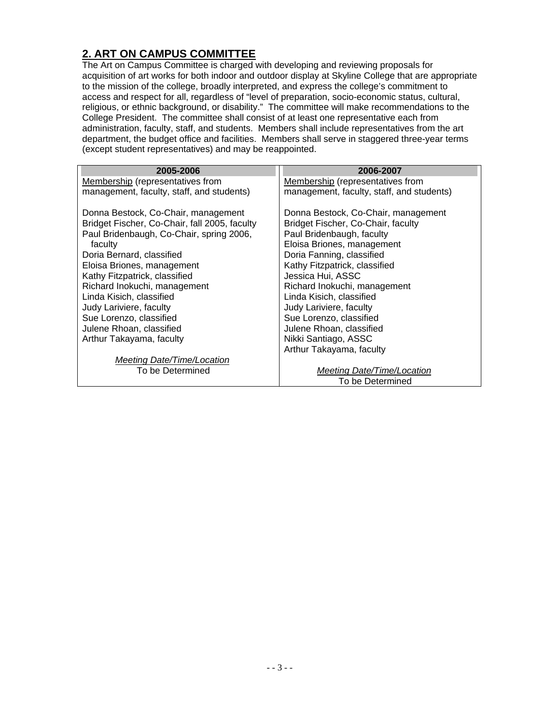# **2. ART ON CAMPUS COMMITTEE**

The Art on Campus Committee is charged with developing and reviewing proposals for acquisition of art works for both indoor and outdoor display at Skyline College that are appropriate to the mission of the college, broadly interpreted, and express the college's commitment to access and respect for all, regardless of "level of preparation, socio-economic status, cultural, religious, or ethnic background, or disability." The committee will make recommendations to the College President. The committee shall consist of at least one representative each from administration, faculty, staff, and students. Members shall include representatives from the art department, the budget office and facilities. Members shall serve in staggered three-year terms (except student representatives) and may be reappointed.

| 2005-2006                                     | 2006-2007                                 |
|-----------------------------------------------|-------------------------------------------|
| Membership (representatives from              | Membership (representatives from          |
|                                               |                                           |
| management, faculty, staff, and students)     | management, faculty, staff, and students) |
|                                               |                                           |
| Donna Bestock, Co-Chair, management           | Donna Bestock, Co-Chair, management       |
| Bridget Fischer, Co-Chair, fall 2005, faculty | Bridget Fischer, Co-Chair, faculty        |
| Paul Bridenbaugh, Co-Chair, spring 2006,      | Paul Bridenbaugh, faculty                 |
| faculty                                       | Eloisa Briones, management                |
| Doria Bernard, classified                     | Doria Fanning, classified                 |
| Eloisa Briones, management                    | Kathy Fitzpatrick, classified             |
| Kathy Fitzpatrick, classified                 | Jessica Hui, ASSC                         |
| Richard Inokuchi, management                  | Richard Inokuchi, management              |
| Linda Kisich, classified                      | Linda Kisich, classified                  |
| Judy Lariviere, faculty                       | Judy Lariviere, faculty                   |
| Sue Lorenzo, classified                       | Sue Lorenzo, classified                   |
| Julene Rhoan, classified                      | Julene Rhoan, classified                  |
| Arthur Takayama, faculty                      | Nikki Santiago, ASSC                      |
|                                               | Arthur Takayama, faculty                  |
| <b>Meeting Date/Time/Location</b>             |                                           |
| To be Determined                              | <b>Meeting Date/Time/Location</b>         |
|                                               | To be Determined                          |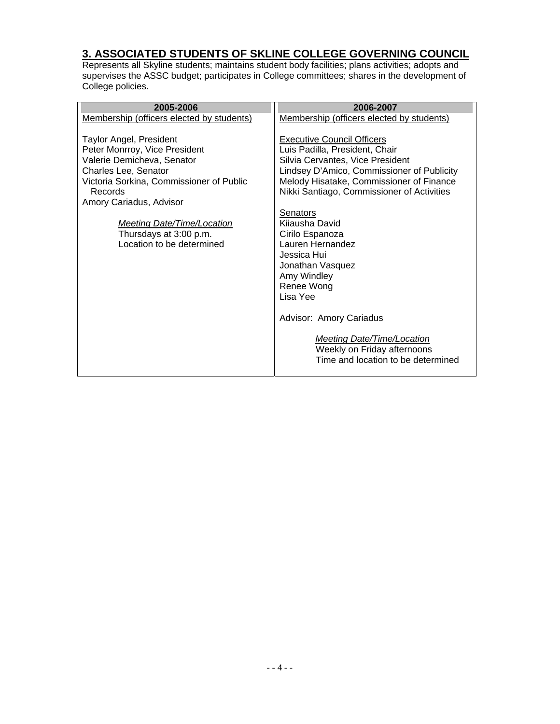#### **3. ASSOCIATED STUDENTS OF SKLINE COLLEGE GOVERNING COUNCIL**

Represents all Skyline students; maintains student body facilities; plans activities; adopts and supervises the ASSC budget; participates in College committees; shares in the development of College policies.

| 2005-2006                                                                                                                                                                                                                                                                                    | 2006-2007                                                                                                                                                                                                                                                                                                                                                                                                                                                                                                                      |
|----------------------------------------------------------------------------------------------------------------------------------------------------------------------------------------------------------------------------------------------------------------------------------------------|--------------------------------------------------------------------------------------------------------------------------------------------------------------------------------------------------------------------------------------------------------------------------------------------------------------------------------------------------------------------------------------------------------------------------------------------------------------------------------------------------------------------------------|
| Membership (officers elected by students)                                                                                                                                                                                                                                                    | Membership (officers elected by students)                                                                                                                                                                                                                                                                                                                                                                                                                                                                                      |
| <b>Taylor Angel, President</b><br>Peter Monrroy, Vice President<br>Valerie Demicheva, Senator<br>Charles Lee, Senator<br>Victoria Sorkina, Commissioner of Public<br>Records<br>Amory Cariadus, Advisor<br>Meeting Date/Time/Location<br>Thursdays at 3:00 p.m.<br>Location to be determined | <b>Executive Council Officers</b><br>Luis Padilla, President, Chair<br>Silvia Cervantes, Vice President<br>Lindsey D'Amico, Commissioner of Publicity<br>Melody Hisatake, Commissioner of Finance<br>Nikki Santiago, Commissioner of Activities<br>Senators<br>Kijausha David<br>Cirilo Espanoza<br>Lauren Hernandez<br>Jessica Hui<br>Jonathan Vasquez<br>Amy Windley<br>Renee Wong<br>Lisa Yee<br>Advisor: Amory Cariadus<br>Meeting Date/Time/Location<br>Weekly on Friday afternoons<br>Time and location to be determined |
|                                                                                                                                                                                                                                                                                              |                                                                                                                                                                                                                                                                                                                                                                                                                                                                                                                                |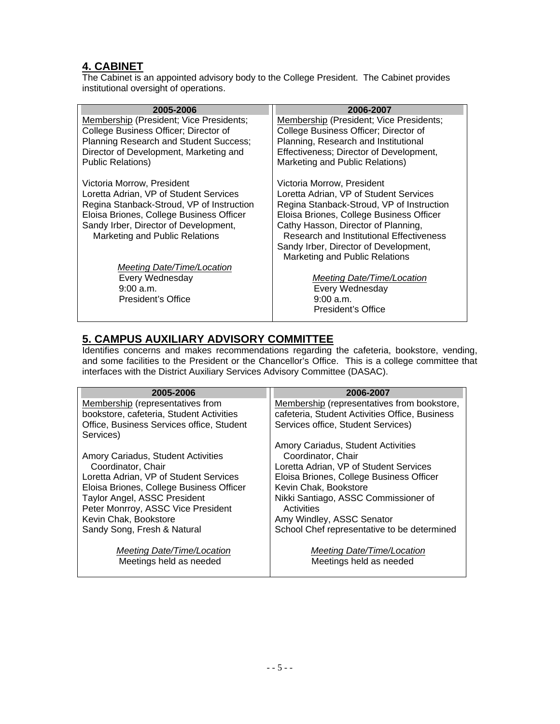#### **4. CABINET**

The Cabinet is an appointed advisory body to the College President. The Cabinet provides institutional oversight of operations.

| 2005-2006                                 | 2006-2007                                 |
|-------------------------------------------|-------------------------------------------|
| Membership (President; Vice Presidents;   | Membership (President; Vice Presidents;   |
| College Business Officer; Director of     | College Business Officer; Director of     |
| Planning Research and Student Success;    | Planning, Research and Institutional      |
| Director of Development, Marketing and    | Effectiveness; Director of Development,   |
| <b>Public Relations)</b>                  | Marketing and Public Relations)           |
| Victoria Morrow, President                | Victoria Morrow, President                |
| Loretta Adrian, VP of Student Services    | Loretta Adrian, VP of Student Services    |
| Regina Stanback-Stroud, VP of Instruction | Regina Stanback-Stroud, VP of Instruction |
| Eloisa Briones, College Business Officer  | Eloisa Briones, College Business Officer  |
| Sandy Irber, Director of Development,     | Cathy Hasson, Director of Planning,       |
| Marketing and Public Relations            | Research and Institutional Effectiveness  |
|                                           | Sandy Irber, Director of Development,     |
|                                           | Marketing and Public Relations            |
| Meeting Date/Time/Location                |                                           |
| Every Wednesday                           | Meeting Date/Time/Location                |
| $9:00$ a.m.                               | Every Wednesday                           |
| <b>President's Office</b>                 | 9:00 a.m.                                 |
|                                           | President's Office                        |

# **5. CAMPUS AUXILIARY ADVISORY COMMITTEE**

Identifies concerns and makes recommendations regarding the cafeteria, bookstore, vending, and some facilities to the President or the Chancellor's Office. This is a college committee that interfaces with the District Auxiliary Services Advisory Committee (DASAC).

| 2005-2006                                 | 2006-2007                                      |
|-------------------------------------------|------------------------------------------------|
| Membership (representatives from          | Membership (representatives from bookstore,    |
| bookstore, cafeteria, Student Activities  | cafeteria, Student Activities Office, Business |
| Office, Business Services office, Student | Services office, Student Services)             |
| Services)                                 |                                                |
|                                           | Amory Cariadus, Student Activities             |
| Amory Cariadus, Student Activities        | Coordinator, Chair                             |
| Coordinator, Chair                        | Loretta Adrian, VP of Student Services         |
| Loretta Adrian, VP of Student Services    | Eloisa Briones, College Business Officer       |
| Eloisa Briones, College Business Officer  | Kevin Chak, Bookstore                          |
| Taylor Angel, ASSC President              | Nikki Santiago, ASSC Commissioner of           |
| Peter Monrroy, ASSC Vice President        | Activities                                     |
| Kevin Chak, Bookstore                     | Amy Windley, ASSC Senator                      |
| Sandy Song, Fresh & Natural               | School Chef representative to be determined    |
|                                           |                                                |
| Meeting Date/Time/Location                | Meeting Date/Time/Location                     |
| Meetings held as needed                   | Meetings held as needed                        |
|                                           |                                                |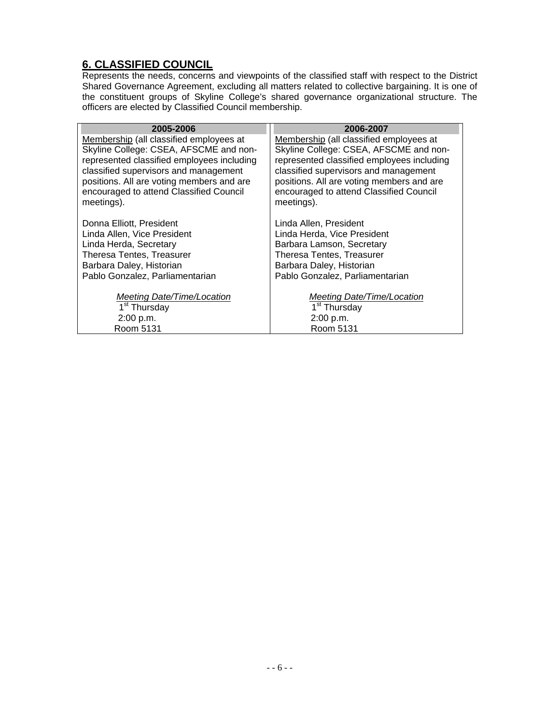# **6. CLASSIFIED COUNCIL**

Represents the needs, concerns and viewpoints of the classified staff with respect to the District Shared Governance Agreement, excluding all matters related to collective bargaining. It is one of the constituent groups of Skyline College's shared governance organizational structure. The officers are elected by Classified Council membership.

| 2005-2006                                  | 2006-2007                                  |
|--------------------------------------------|--------------------------------------------|
| Membership (all classified employees at    | Membership (all classified employees at    |
| Skyline College: CSEA, AFSCME and non-     | Skyline College: CSEA, AFSCME and non-     |
| represented classified employees including | represented classified employees including |
| classified supervisors and management      | classified supervisors and management      |
| positions. All are voting members and are  | positions. All are voting members and are  |
| encouraged to attend Classified Council    | encouraged to attend Classified Council    |
| meetings).                                 | meetings).                                 |
|                                            |                                            |
| Donna Elliott, President                   | Linda Allen, President                     |
| Linda Allen, Vice President                | Linda Herda, Vice President                |
| Linda Herda, Secretary                     | Barbara Lamson, Secretary                  |
| Theresa Tentes, Treasurer                  | Theresa Tentes, Treasurer                  |
| Barbara Daley, Historian                   | Barbara Daley, Historian                   |
| Pablo Gonzalez, Parliamentarian            | Pablo Gonzalez, Parliamentarian            |
|                                            |                                            |
| Meeting Date/Time/Location                 | Meeting Date/Time/Location                 |
| 1 <sup>st</sup> Thursday                   | 1 <sup>st</sup> Thursday                   |
| 2:00 p.m.                                  | 2:00 p.m.                                  |
| Room 5131                                  | Room 5131                                  |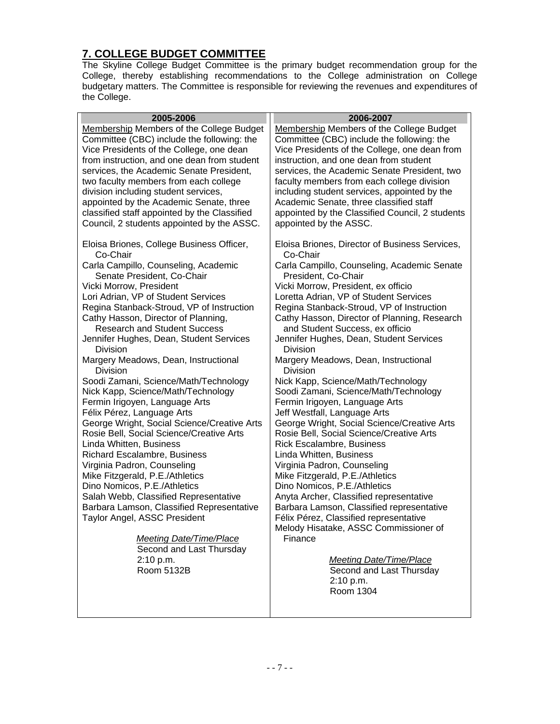# **7. COLLEGE BUDGET COMMITTEE**

The Skyline College Budget Committee is the primary budget recommendation group for the College, thereby establishing recommendations to the College administration on College budgetary matters. The Committee is responsible for reviewing the revenues and expenditures of the College.

| 2005-2006                                       | 2006-2007                                       |
|-------------------------------------------------|-------------------------------------------------|
| <b>Membership Members of the College Budget</b> | <b>Membership Members of the College Budget</b> |
| Committee (CBC) include the following: the      | Committee (CBC) include the following: the      |
| Vice Presidents of the College, one dean        | Vice Presidents of the College, one dean from   |
| from instruction, and one dean from student     | instruction, and one dean from student          |
| services, the Academic Senate President,        | services, the Academic Senate President, two    |
| two faculty members from each college           | faculty members from each college division      |
| division including student services,            | including student services, appointed by the    |
| appointed by the Academic Senate, three         | Academic Senate, three classified staff         |
| classified staff appointed by the Classified    | appointed by the Classified Council, 2 students |
| Council, 2 students appointed by the ASSC.      | appointed by the ASSC.                          |
|                                                 |                                                 |
| Eloisa Briones, College Business Officer,       | Eloisa Briones, Director of Business Services,  |
| Co-Chair                                        | Co-Chair                                        |
| Carla Campillo, Counseling, Academic            | Carla Campillo, Counseling, Academic Senate     |
| Senate President, Co-Chair                      | President, Co-Chair                             |
| Vicki Morrow, President                         | Vicki Morrow, President, ex officio             |
| Lori Adrian, VP of Student Services             | Loretta Adrian, VP of Student Services          |
| Regina Stanback-Stroud, VP of Instruction       | Regina Stanback-Stroud, VP of Instruction       |
| Cathy Hasson, Director of Planning,             | Cathy Hasson, Director of Planning, Research    |
| <b>Research and Student Success</b>             | and Student Success, ex officio                 |
| Jennifer Hughes, Dean, Student Services         | Jennifer Hughes, Dean, Student Services         |
| <b>Division</b>                                 | <b>Division</b>                                 |
| Margery Meadows, Dean, Instructional            | Margery Meadows, Dean, Instructional            |
| <b>Division</b>                                 | <b>Division</b>                                 |
| Soodi Zamani, Science/Math/Technology           | Nick Kapp, Science/Math/Technology              |
| Nick Kapp, Science/Math/Technology              | Soodi Zamani, Science/Math/Technology           |
| Fermin Irigoyen, Language Arts                  | Fermin Irigoyen, Language Arts                  |
| Félix Pérez, Language Arts                      | Jeff Westfall, Language Arts                    |
| George Wright, Social Science/Creative Arts     | George Wright, Social Science/Creative Arts     |
| Rosie Bell, Social Science/Creative Arts        | Rosie Bell, Social Science/Creative Arts        |
| Linda Whitten, Business                         | Rick Escalambre, Business                       |
| Richard Escalambre, Business                    | Linda Whitten, Business                         |
| Virginia Padron, Counseling                     | Virginia Padron, Counseling                     |
| Mike Fitzgerald, P.E./Athletics                 | Mike Fitzgerald, P.E./Athletics                 |
| Dino Nomicos, P.E./Athletics                    | Dino Nomicos, P.E./Athletics                    |
| Salah Webb, Classified Representative           | Anyta Archer, Classified representative         |
| Barbara Lamson, Classified Representative       | Barbara Lamson, Classified representative       |
| Taylor Angel, ASSC President                    | Félix Pérez, Classified representative          |
|                                                 | Melody Hisatake, ASSC Commissioner of           |
| <b>Meeting Date/Time/Place</b>                  | Finance                                         |
| Second and Last Thursday                        |                                                 |
| 2:10 p.m.                                       | <b>Meeting Date/Time/Place</b>                  |
| Room 5132B                                      | Second and Last Thursday                        |
|                                                 | 2:10 p.m.                                       |
|                                                 | Room 1304                                       |
|                                                 |                                                 |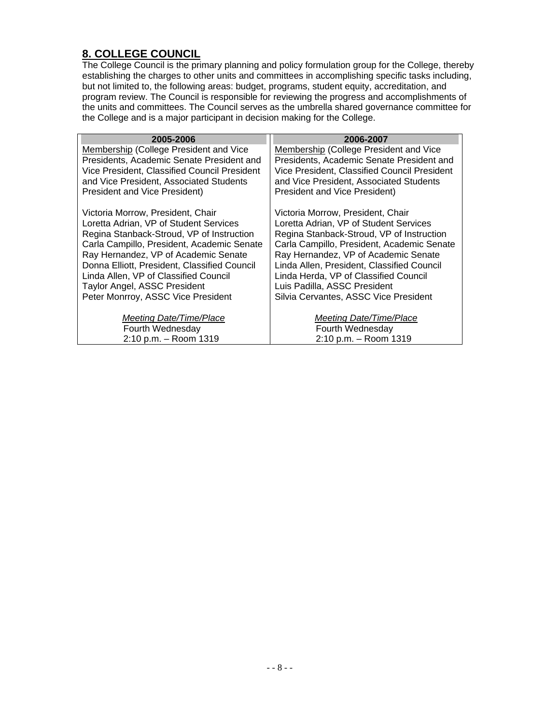# **8. COLLEGE COUNCIL**

The College Council is the primary planning and policy formulation group for the College, thereby establishing the charges to other units and committees in accomplishing specific tasks including, but not limited to, the following areas: budget, programs, student equity, accreditation, and program review. The Council is responsible for reviewing the progress and accomplishments of the units and committees. The Council serves as the umbrella shared governance committee for the College and is a major participant in decision making for the College.

| 2005-2006                                    | 2006-2007                                    |
|----------------------------------------------|----------------------------------------------|
| Membership (College President and Vice       | Membership (College President and Vice       |
| Presidents, Academic Senate President and    | Presidents, Academic Senate President and    |
| Vice President, Classified Council President | Vice President, Classified Council President |
| and Vice President, Associated Students      | and Vice President, Associated Students      |
| <b>President and Vice President)</b>         | <b>President and Vice President)</b>         |
| Victoria Morrow, President, Chair            | Victoria Morrow, President, Chair            |
| Loretta Adrian, VP of Student Services       | Loretta Adrian, VP of Student Services       |
| Regina Stanback-Stroud, VP of Instruction    | Regina Stanback-Stroud, VP of Instruction    |
| Carla Campillo, President, Academic Senate   | Carla Campillo, President, Academic Senate   |
| Ray Hernandez, VP of Academic Senate         | Ray Hernandez, VP of Academic Senate         |
| Donna Elliott, President, Classified Council | Linda Allen, President, Classified Council   |
| Linda Allen, VP of Classified Council        | Linda Herda, VP of Classified Council        |
| <b>Taylor Angel, ASSC President</b>          | Luis Padilla, ASSC President                 |
| Peter Monrroy, ASSC Vice President           | Silvia Cervantes, ASSC Vice President        |
| Meeting Date/Time/Place                      | Meeting Date/Time/Place                      |
| Fourth Wednesday                             | Fourth Wednesday                             |
| 2:10 p.m. - Room 1319                        | 2:10 p.m. - Room 1319                        |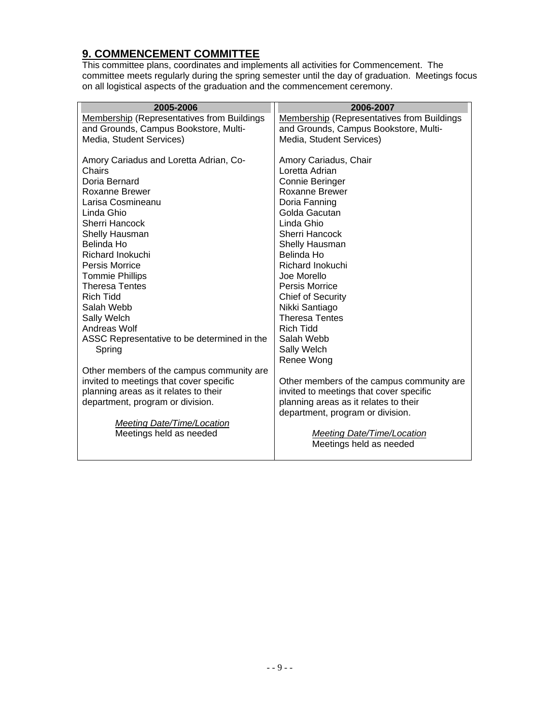## **9. COMMENCEMENT COMMITTEE**

This committee plans, coordinates and implements all activities for Commencement. The committee meets regularly during the spring semester until the day of graduation. Meetings focus on all logistical aspects of the graduation and the commencement ceremony.

| 2005-2006                                         | 2006-2007                                         |
|---------------------------------------------------|---------------------------------------------------|
| <b>Membership (Representatives from Buildings</b> | <b>Membership (Representatives from Buildings</b> |
| and Grounds, Campus Bookstore, Multi-             | and Grounds, Campus Bookstore, Multi-             |
| Media, Student Services)                          | Media, Student Services)                          |
|                                                   |                                                   |
| Amory Cariadus and Loretta Adrian, Co-            | Amory Cariadus, Chair                             |
| Chairs                                            | Loretta Adrian                                    |
| Doria Bernard                                     | <b>Connie Beringer</b>                            |
| Roxanne Brewer                                    | <b>Roxanne Brewer</b>                             |
| Larisa Cosmineanu                                 | Doria Fanning                                     |
| Linda Ghio                                        | Golda Gacutan                                     |
| Sherri Hancock                                    | Linda Ghio                                        |
| Shelly Hausman                                    | Sherri Hancock                                    |
| Belinda Ho                                        | Shelly Hausman                                    |
| <b>Richard Inokuchi</b>                           | Belinda Ho                                        |
| <b>Persis Morrice</b>                             | Richard Inokuchi                                  |
| <b>Tommie Phillips</b>                            | Joe Morello                                       |
| <b>Theresa Tentes</b>                             | <b>Persis Morrice</b>                             |
| <b>Rich Tidd</b>                                  | <b>Chief of Security</b>                          |
| Salah Webb                                        | Nikki Santiago                                    |
| Sally Welch                                       | <b>Theresa Tentes</b>                             |
| Andreas Wolf                                      | Rich Tidd                                         |
| ASSC Representative to be determined in the       | Salah Webb                                        |
| Spring                                            | Sally Welch                                       |
|                                                   | Renee Wong                                        |
| Other members of the campus community are         |                                                   |
| invited to meetings that cover specific           | Other members of the campus community are.        |
| planning areas as it relates to their             | invited to meetings that cover specific           |
| department, program or division.                  | planning areas as it relates to their             |
|                                                   | department, program or division.                  |
| <b>Meeting Date/Time/Location</b>                 |                                                   |
| Meetings held as needed                           | Meeting Date/Time/Location                        |
|                                                   | Meetings held as needed                           |
|                                                   |                                                   |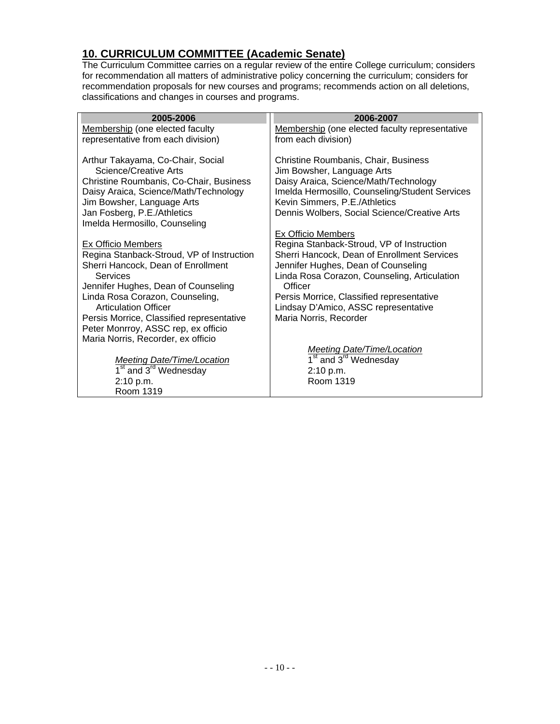#### **10. CURRICULUM COMMITTEE (Academic Senate)**

The Curriculum Committee carries on a regular review of the entire College curriculum; considers for recommendation all matters of administrative policy concerning the curriculum; considers for recommendation proposals for new courses and programs; recommends action on all deletions, classifications and changes in courses and programs.

| 2005-2006                                     | 2006-2007                                      |
|-----------------------------------------------|------------------------------------------------|
| Membership (one elected faculty               | Membership (one elected faculty representative |
| representative from each division)            | from each division)                            |
|                                               |                                                |
| Arthur Takayama, Co-Chair, Social             | Christine Roumbanis, Chair, Business           |
| Science/Creative Arts                         | Jim Bowsher, Language Arts                     |
| Christine Roumbanis, Co-Chair, Business       | Daisy Araica, Science/Math/Technology          |
| Daisy Araica, Science/Math/Technology         | Imelda Hermosillo, Counseling/Student Services |
| Jim Bowsher, Language Arts                    | Kevin Simmers, P.E./Athletics                  |
| Jan Fosberg, P.E./Athletics                   | Dennis Wolbers, Social Science/Creative Arts   |
| Imelda Hermosillo, Counseling                 |                                                |
|                                               | <b>Ex Officio Members</b>                      |
| Ex Officio Members                            | Regina Stanback-Stroud, VP of Instruction      |
| Regina Stanback-Stroud, VP of Instruction     | Sherri Hancock, Dean of Enrollment Services    |
| Sherri Hancock, Dean of Enrollment            | Jennifer Hughes, Dean of Counseling            |
| Services                                      | Linda Rosa Corazon, Counseling, Articulation   |
| Jennifer Hughes, Dean of Counseling           | Officer                                        |
| Linda Rosa Corazon, Counseling,               | Persis Morrice, Classified representative      |
| <b>Articulation Officer</b>                   | Lindsay D'Amico, ASSC representative           |
| Persis Morrice, Classified representative     | Maria Norris, Recorder                         |
| Peter Monrroy, ASSC rep, ex officio           |                                                |
| Maria Norris, Recorder, ex officio            |                                                |
|                                               | <b>Meeting Date/Time/Location</b>              |
| <b>Meeting Date/Time/Location</b>             | 1 <sup>st</sup> and 3 <sup>rd</sup> Wednesday  |
| 1 <sup>st</sup> and 3 <sup>rd</sup> Wednesday | 2:10 p.m.                                      |
| 2:10 p.m.                                     | Room 1319                                      |
| Room 1319                                     |                                                |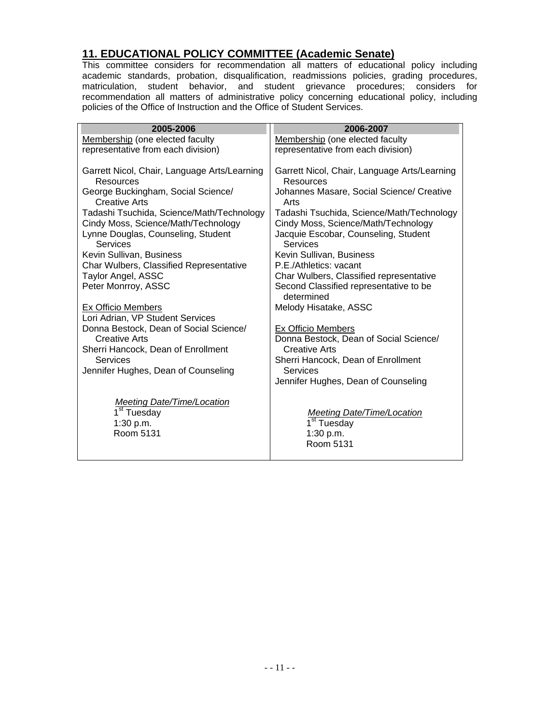#### **11. EDUCATIONAL POLICY COMMITTEE (Academic Senate)**

This committee considers for recommendation all matters of educational policy including academic standards, probation, disqualification, readmissions policies, grading procedures, matriculation, student behavior, and student grievance procedures; considers for recommendation all matters of administrative policy concerning educational policy, including policies of the Office of Instruction and the Office of Student Services.

| 2005-2006                                                                                                                          | 2006-2007                                                                                                                            |
|------------------------------------------------------------------------------------------------------------------------------------|--------------------------------------------------------------------------------------------------------------------------------------|
| Membership (one elected faculty<br>representative from each division)                                                              | Membership (one elected faculty<br>representative from each division)                                                                |
| Garrett Nicol, Chair, Language Arts/Learning<br>Resources                                                                          | Garrett Nicol, Chair, Language Arts/Learning<br>Resources                                                                            |
| George Buckingham, Social Science/<br><b>Creative Arts</b>                                                                         | Johannes Masare, Social Science/ Creative<br>Arts                                                                                    |
| Tadashi Tsuchida, Science/Math/Technology<br>Cindy Moss, Science/Math/Technology<br>Lynne Douglas, Counseling, Student<br>Services | Tadashi Tsuchida, Science/Math/Technology<br>Cindy Moss, Science/Math/Technology<br>Jacquie Escobar, Counseling, Student<br>Services |
| Kevin Sullivan, Business                                                                                                           | Kevin Sullivan, Business                                                                                                             |
| Char Wulbers, Classified Representative                                                                                            | P.E./Athletics: vacant                                                                                                               |
| Taylor Angel, ASSC<br>Peter Monrroy, ASSC                                                                                          | Char Wulbers, Classified representative<br>Second Classified representative to be<br>determined                                      |
| <b>Ex Officio Members</b>                                                                                                          | Melody Hisatake, ASSC                                                                                                                |
| Lori Adrian, VP Student Services                                                                                                   |                                                                                                                                      |
| Donna Bestock, Dean of Social Science/<br><b>Creative Arts</b>                                                                     | <b>Ex Officio Members</b><br>Donna Bestock, Dean of Social Science/                                                                  |
| Sherri Hancock, Dean of Enrollment                                                                                                 | Creative Arts                                                                                                                        |
| Services                                                                                                                           | Sherri Hancock, Dean of Enrollment                                                                                                   |
| Jennifer Hughes, Dean of Counseling                                                                                                | Services                                                                                                                             |
|                                                                                                                                    | Jennifer Hughes, Dean of Counseling                                                                                                  |
| Meeting Date/Time/Location<br>1 <sup>st</sup> Tuesday<br>1:30 p.m.<br>Room 5131                                                    | Meeting Date/Time/Location<br>1 <sup>st</sup> Tuesday<br>1:30 p.m.<br>Room 5131                                                      |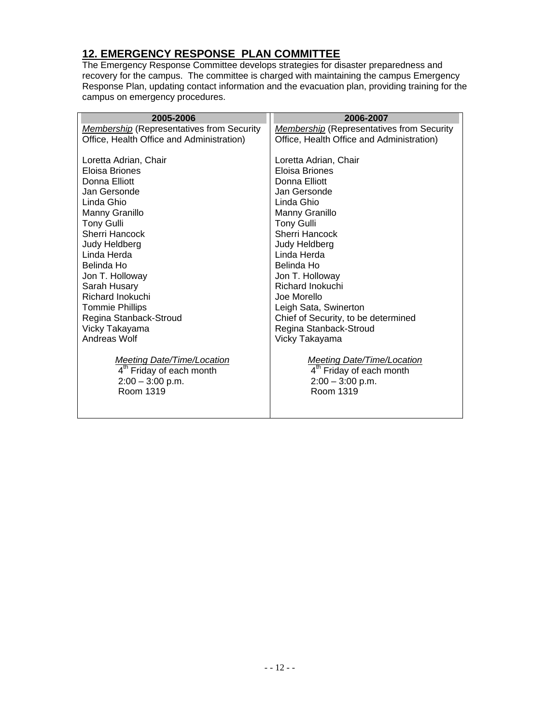# **12. EMERGENCY RESPONSE PLAN COMMITTEE**

The Emergency Response Committee develops strategies for disaster preparedness and recovery for the campus. The committee is charged with maintaining the campus Emergency Response Plan, updating contact information and the evacuation plan, providing training for the campus on emergency procedures.

| 2005-2006                                        | 2006-2007                                        |
|--------------------------------------------------|--------------------------------------------------|
| <b>Membership</b> (Representatives from Security | <b>Membership</b> (Representatives from Security |
| Office, Health Office and Administration)        | Office, Health Office and Administration)        |
|                                                  |                                                  |
| Loretta Adrian, Chair                            | Loretta Adrian, Chair                            |
| Eloisa Briones                                   | Eloisa Briones                                   |
| Donna Elliott                                    | Donna Elliott                                    |
| Jan Gersonde                                     | Jan Gersonde                                     |
| Linda Ghio                                       | Linda Ghio                                       |
| Manny Granillo                                   | Manny Granillo                                   |
| Tony Gulli                                       | <b>Tony Gulli</b>                                |
| Sherri Hancock                                   | <b>Sherri Hancock</b>                            |
| Judy Heldberg                                    | Judy Heldberg                                    |
| Linda Herda                                      | Linda Herda                                      |
| Belinda Ho                                       | Belinda Ho                                       |
| Jon T. Holloway                                  | Jon T. Holloway                                  |
| Sarah Husary                                     | Richard Inokuchi                                 |
| Richard Inokuchi                                 | Joe Morello                                      |
| <b>Tommie Phillips</b>                           | Leigh Sata, Swinerton                            |
| Regina Stanback-Stroud                           | Chief of Security, to be determined              |
| Vicky Takayama<br>Andreas Wolf                   | Regina Stanback-Stroud                           |
|                                                  | Vicky Takayama                                   |
| <b>Meeting Date/Time/Location</b>                | <b>Meeting Date/Time/Location</b>                |
| 4 <sup>th</sup> Friday of each month             | 4 <sup>th</sup> Friday of each month             |
| $2:00 - 3:00$ p.m.                               | $2:00 - 3:00$ p.m.                               |
| Room 1319                                        | Room 1319                                        |
|                                                  |                                                  |
|                                                  |                                                  |
|                                                  |                                                  |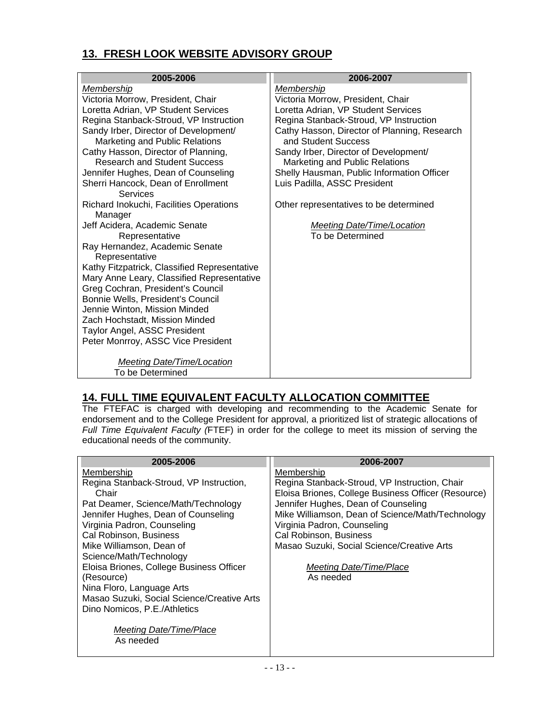# **13. FRESH LOOK WEBSITE ADVISORY GROUP**

| 2005-2006                                    | 2006-2007                                    |
|----------------------------------------------|----------------------------------------------|
| Membership                                   | Membership                                   |
| Victoria Morrow, President, Chair            | Victoria Morrow, President, Chair            |
| Loretta Adrian, VP Student Services          | Loretta Adrian, VP Student Services          |
| Regina Stanback-Stroud, VP Instruction       | Regina Stanback-Stroud, VP Instruction       |
| Sandy Irber, Director of Development/        | Cathy Hasson, Director of Planning, Research |
| Marketing and Public Relations               | and Student Success                          |
| Cathy Hasson, Director of Planning,          | Sandy Irber, Director of Development/        |
| <b>Research and Student Success</b>          | Marketing and Public Relations               |
| Jennifer Hughes, Dean of Counseling          | Shelly Hausman, Public Information Officer   |
| Sherri Hancock, Dean of Enrollment           | Luis Padilla, ASSC President                 |
| Services                                     |                                              |
| Richard Inokuchi, Facilities Operations      | Other representatives to be determined       |
| Manager                                      |                                              |
| Jeff Acidera, Academic Senate                | <b>Meeting Date/Time/Location</b>            |
| Representative                               | To be Determined                             |
| Ray Hernandez, Academic Senate               |                                              |
| Representative                               |                                              |
| Kathy Fitzpatrick, Classified Representative |                                              |
| Mary Anne Leary, Classified Representative   |                                              |
| Greg Cochran, President's Council            |                                              |
| Bonnie Wells, President's Council            |                                              |
| Jennie Winton, Mission Minded                |                                              |
| Zach Hochstadt, Mission Minded               |                                              |
| Taylor Angel, ASSC President                 |                                              |
| Peter Monrroy, ASSC Vice President           |                                              |
|                                              |                                              |
| Meeting Date/Time/Location                   |                                              |
| To be Determined                             |                                              |
|                                              |                                              |

#### **14. FULL TIME EQUIVALENT FACULTY ALLOCATION COMMITTEE**

The FTEFAC is charged with developing and recommending to the Academic Senate for endorsement and to the College President for approval, a prioritized list of strategic allocations of *Full Time Equivalent Faculty (*FTEF) in order for the college to meet its mission of serving the educational needs of the community.

| 2005-2006                                  | 2006-2007                                           |
|--------------------------------------------|-----------------------------------------------------|
| Membership                                 | Membership                                          |
| Regina Stanback-Stroud, VP Instruction,    | Regina Stanback-Stroud, VP Instruction, Chair       |
| Chair                                      | Eloisa Briones, College Business Officer (Resource) |
| Pat Deamer, Science/Math/Technology        | Jennifer Hughes, Dean of Counseling                 |
| Jennifer Hughes, Dean of Counseling        | Mike Williamson, Dean of Science/Math/Technology    |
| Virginia Padron, Counseling                | Virginia Padron, Counseling                         |
| Cal Robinson, Business                     | Cal Robinson, Business                              |
| Mike Williamson, Dean of                   | Masao Suzuki, Social Science/Creative Arts          |
| Science/Math/Technology                    |                                                     |
| Eloisa Briones, College Business Officer   | Meeting Date/Time/Place                             |
| (Resource)                                 | As needed                                           |
| Nina Floro, Language Arts                  |                                                     |
| Masao Suzuki, Social Science/Creative Arts |                                                     |
| Dino Nomicos, P.E./Athletics               |                                                     |
|                                            |                                                     |
| Meeting Date/Time/Place                    |                                                     |
| As needed                                  |                                                     |
|                                            |                                                     |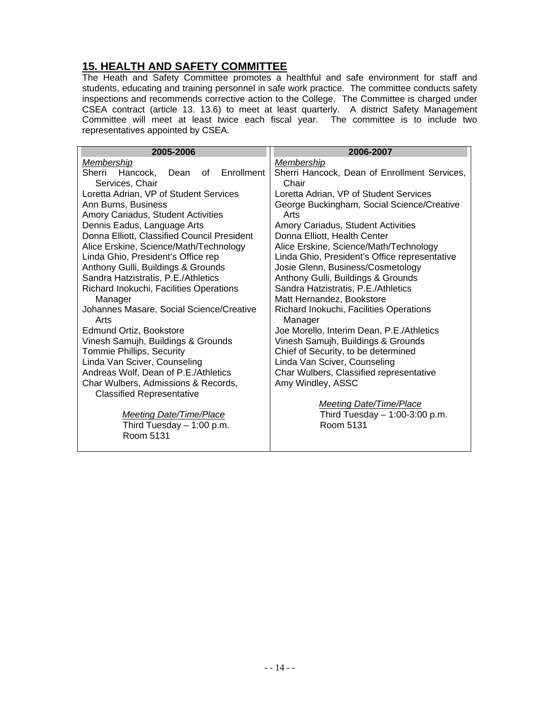#### **15. HEALTH AND SAFETY COMMITTEE**

The Heath and Safety Committee promotes a healthful and safe environment for staff and students, educating and training personnel in safe work practice. The committee conducts safety inspections and recommends corrective action to the College. The Committee is charged under CSEA contract (article 13. 13.6) to meet at least quarterly. A district Safety Management Committee will meet at least twice each fiscal year. The committee is to include two representatives appointed by CSEA.

| 2005-2006                                                         | 2006-2007                                             |
|-------------------------------------------------------------------|-------------------------------------------------------|
| Membership                                                        | Membership                                            |
| Enrollment<br>Sherri<br>Hancock,<br>of<br>Dean<br>Services, Chair | Sherri Hancock, Dean of Enrollment Services,<br>Chair |
| Loretta Adrian, VP of Student Services                            | Loretta Adrian, VP of Student Services                |
| Ann Burns, Business                                               | George Buckingham, Social Science/Creative            |
| Amory Cariadus, Student Activities                                | Arts                                                  |
| Dennis Eadus, Language Arts                                       | Amory Cariadus, Student Activities                    |
| Donna Elliott, Classified Council President                       | Donna Elliott, Health Center                          |
| Alice Erskine, Science/Math/Technology                            | Alice Erskine, Science/Math/Technology                |
| Linda Ghio, President's Office rep                                | Linda Ghio, President's Office representative         |
| Anthony Gulli, Buildings & Grounds                                | Josie Glenn, Business/Cosmetology                     |
| Sandra Hatzistratis, P.E./Athletics                               | Anthony Gulli, Buildings & Grounds                    |
| Richard Inokuchi, Facilities Operations                           | Sandra Hatzistratis, P.E./Athletics                   |
| Manager                                                           | Matt Hernandez, Bookstore                             |
| Johannes Masare, Social Science/Creative<br>Arts                  | Richard Inokuchi, Facilities Operations<br>Manager    |
| Edmund Ortiz, Bookstore                                           | Joe Morello, Interim Dean, P.E./Athletics             |
| Vinesh Samujh, Buildings & Grounds                                | Vinesh Samujh, Buildings & Grounds                    |
| Tommie Phillips, Security                                         | Chief of Security, to be determined                   |
| Linda Van Sciver, Counseling                                      | Linda Van Sciver, Counseling                          |
| Andreas Wolf, Dean of P.E./Athletics                              | Char Wulbers, Classified representative               |
| Char Wulbers, Admissions & Records,                               | Amy Windley, ASSC                                     |
| <b>Classified Representative</b>                                  |                                                       |
|                                                                   | <b>Meeting Date/Time/Place</b>                        |
| <b>Meeting Date/Time/Place</b>                                    | Third Tuesday $-1:00-3:00$ p.m.                       |
| Third Tuesday $-1:00$ p.m.                                        | Room 5131                                             |
| Room 5131                                                         |                                                       |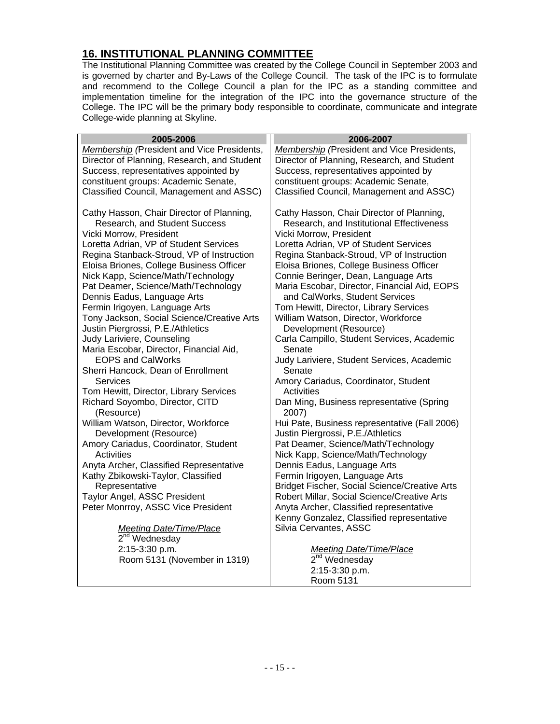# **16. INSTITUTIONAL PLANNING COMMITTEE**

The Institutional Planning Committee was created by the College Council in September 2003 and is governed by charter and By-Laws of the College Council. The task of the IPC is to formulate and recommend to the College Council a plan for the IPC as a standing committee and implementation timeline for the integration of the IPC into the governance structure of the College. The IPC will be the primary body responsible to coordinate, communicate and integrate College-wide planning at Skyline.

| 2005-2006                                                                                                                                                                                                                                                                                                                                                                                                                                                                                                                                                                                                                                                                                                                                                                                                                                                                                                                                                                                                                                | 2006-2007                                                                                                                                                                                                                                                                                                                                                                                                                                                                                                                                                                                                                                                                                                                                                                                                                                                                                                                                                                                                                                                                                             |
|------------------------------------------------------------------------------------------------------------------------------------------------------------------------------------------------------------------------------------------------------------------------------------------------------------------------------------------------------------------------------------------------------------------------------------------------------------------------------------------------------------------------------------------------------------------------------------------------------------------------------------------------------------------------------------------------------------------------------------------------------------------------------------------------------------------------------------------------------------------------------------------------------------------------------------------------------------------------------------------------------------------------------------------|-------------------------------------------------------------------------------------------------------------------------------------------------------------------------------------------------------------------------------------------------------------------------------------------------------------------------------------------------------------------------------------------------------------------------------------------------------------------------------------------------------------------------------------------------------------------------------------------------------------------------------------------------------------------------------------------------------------------------------------------------------------------------------------------------------------------------------------------------------------------------------------------------------------------------------------------------------------------------------------------------------------------------------------------------------------------------------------------------------|
| Membership (President and Vice Presidents,                                                                                                                                                                                                                                                                                                                                                                                                                                                                                                                                                                                                                                                                                                                                                                                                                                                                                                                                                                                               | Membership (President and Vice Presidents,                                                                                                                                                                                                                                                                                                                                                                                                                                                                                                                                                                                                                                                                                                                                                                                                                                                                                                                                                                                                                                                            |
| Director of Planning, Research, and Student                                                                                                                                                                                                                                                                                                                                                                                                                                                                                                                                                                                                                                                                                                                                                                                                                                                                                                                                                                                              | Director of Planning, Research, and Student                                                                                                                                                                                                                                                                                                                                                                                                                                                                                                                                                                                                                                                                                                                                                                                                                                                                                                                                                                                                                                                           |
| Success, representatives appointed by                                                                                                                                                                                                                                                                                                                                                                                                                                                                                                                                                                                                                                                                                                                                                                                                                                                                                                                                                                                                    | Success, representatives appointed by                                                                                                                                                                                                                                                                                                                                                                                                                                                                                                                                                                                                                                                                                                                                                                                                                                                                                                                                                                                                                                                                 |
| constituent groups: Academic Senate,                                                                                                                                                                                                                                                                                                                                                                                                                                                                                                                                                                                                                                                                                                                                                                                                                                                                                                                                                                                                     | constituent groups: Academic Senate,                                                                                                                                                                                                                                                                                                                                                                                                                                                                                                                                                                                                                                                                                                                                                                                                                                                                                                                                                                                                                                                                  |
|                                                                                                                                                                                                                                                                                                                                                                                                                                                                                                                                                                                                                                                                                                                                                                                                                                                                                                                                                                                                                                          |                                                                                                                                                                                                                                                                                                                                                                                                                                                                                                                                                                                                                                                                                                                                                                                                                                                                                                                                                                                                                                                                                                       |
| Classified Council, Management and ASSC)<br>Cathy Hasson, Chair Director of Planning,<br>Research, and Student Success<br>Vicki Morrow, President<br>Loretta Adrian, VP of Student Services<br>Regina Stanback-Stroud, VP of Instruction<br>Eloisa Briones, College Business Officer<br>Nick Kapp, Science/Math/Technology<br>Pat Deamer, Science/Math/Technology<br>Dennis Eadus, Language Arts<br>Fermin Irigoyen, Language Arts<br>Tony Jackson, Social Science/Creative Arts<br>Justin Piergrossi, P.E./Athletics<br>Judy Lariviere, Counseling<br>Maria Escobar, Director, Financial Aid,<br><b>EOPS and CalWorks</b><br>Sherri Hancock, Dean of Enrollment<br>Services<br>Tom Hewitt, Director, Library Services<br>Richard Soyombo, Director, CITD<br>(Resource)<br>William Watson, Director, Workforce<br>Development (Resource)<br>Amory Cariadus, Coordinator, Student<br><b>Activities</b><br>Anyta Archer, Classified Representative<br>Kathy Zbikowski-Taylor, Classified<br>Representative<br>Taylor Angel, ASSC President | Classified Council, Management and ASSC)<br>Cathy Hasson, Chair Director of Planning,<br>Research, and Institutional Effectiveness<br>Vicki Morrow, President<br>Loretta Adrian, VP of Student Services<br>Regina Stanback-Stroud, VP of Instruction<br>Eloisa Briones, College Business Officer<br>Connie Beringer, Dean, Language Arts<br>Maria Escobar, Director, Financial Aid, EOPS<br>and CalWorks, Student Services<br>Tom Hewitt, Director, Library Services<br>William Watson, Director, Workforce<br>Development (Resource)<br>Carla Campillo, Student Services, Academic<br>Senate<br>Judy Lariviere, Student Services, Academic<br>Senate<br>Amory Cariadus, Coordinator, Student<br>Activities<br>Dan Ming, Business representative (Spring<br>2007)<br>Hui Pate, Business representative (Fall 2006)<br>Justin Piergrossi, P.E./Athletics<br>Pat Deamer, Science/Math/Technology<br>Nick Kapp, Science/Math/Technology<br>Dennis Eadus, Language Arts<br>Fermin Irigoyen, Language Arts<br>Bridget Fischer, Social Science/Creative Arts<br>Robert Millar, Social Science/Creative Arts |
| Peter Monrroy, ASSC Vice President                                                                                                                                                                                                                                                                                                                                                                                                                                                                                                                                                                                                                                                                                                                                                                                                                                                                                                                                                                                                       |                                                                                                                                                                                                                                                                                                                                                                                                                                                                                                                                                                                                                                                                                                                                                                                                                                                                                                                                                                                                                                                                                                       |
|                                                                                                                                                                                                                                                                                                                                                                                                                                                                                                                                                                                                                                                                                                                                                                                                                                                                                                                                                                                                                                          | Anyta Archer, Classified representative<br>Kenny Gonzalez, Classified representative                                                                                                                                                                                                                                                                                                                                                                                                                                                                                                                                                                                                                                                                                                                                                                                                                                                                                                                                                                                                                  |
| <b>Meeting Date/Time/Place</b>                                                                                                                                                                                                                                                                                                                                                                                                                                                                                                                                                                                                                                                                                                                                                                                                                                                                                                                                                                                                           | Silvia Cervantes, ASSC                                                                                                                                                                                                                                                                                                                                                                                                                                                                                                                                                                                                                                                                                                                                                                                                                                                                                                                                                                                                                                                                                |
| $2nd$ Wednesday                                                                                                                                                                                                                                                                                                                                                                                                                                                                                                                                                                                                                                                                                                                                                                                                                                                                                                                                                                                                                          |                                                                                                                                                                                                                                                                                                                                                                                                                                                                                                                                                                                                                                                                                                                                                                                                                                                                                                                                                                                                                                                                                                       |
| 2:15-3:30 p.m.                                                                                                                                                                                                                                                                                                                                                                                                                                                                                                                                                                                                                                                                                                                                                                                                                                                                                                                                                                                                                           | <b>Meeting Date/Time/Place</b>                                                                                                                                                                                                                                                                                                                                                                                                                                                                                                                                                                                                                                                                                                                                                                                                                                                                                                                                                                                                                                                                        |
| Room 5131 (November in 1319)                                                                                                                                                                                                                                                                                                                                                                                                                                                                                                                                                                                                                                                                                                                                                                                                                                                                                                                                                                                                             | 2 <sup>nd</sup> Wednesday                                                                                                                                                                                                                                                                                                                                                                                                                                                                                                                                                                                                                                                                                                                                                                                                                                                                                                                                                                                                                                                                             |
|                                                                                                                                                                                                                                                                                                                                                                                                                                                                                                                                                                                                                                                                                                                                                                                                                                                                                                                                                                                                                                          | 2:15-3:30 p.m.                                                                                                                                                                                                                                                                                                                                                                                                                                                                                                                                                                                                                                                                                                                                                                                                                                                                                                                                                                                                                                                                                        |
|                                                                                                                                                                                                                                                                                                                                                                                                                                                                                                                                                                                                                                                                                                                                                                                                                                                                                                                                                                                                                                          | Room 5131                                                                                                                                                                                                                                                                                                                                                                                                                                                                                                                                                                                                                                                                                                                                                                                                                                                                                                                                                                                                                                                                                             |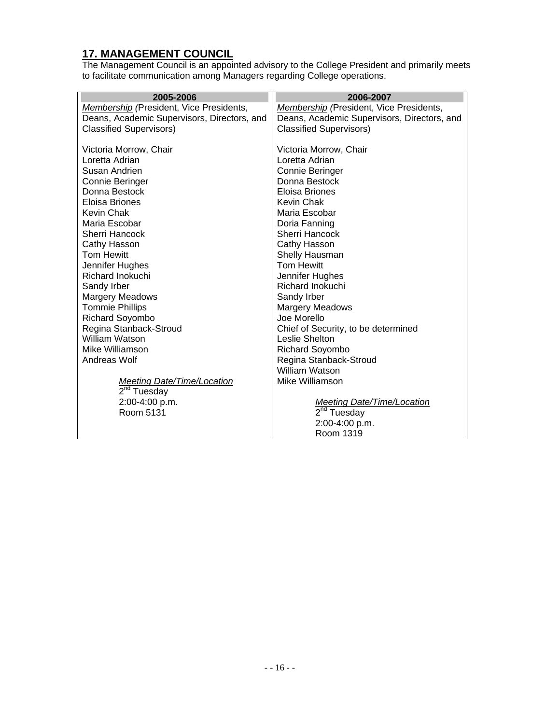#### **17. MANAGEMENT COUNCIL**

The Management Council is an appointed advisory to the College President and primarily meets to facilitate communication among Managers regarding College operations.

| 2005-2006                                   | 2006-2007                                   |
|---------------------------------------------|---------------------------------------------|
| Membership (President, Vice Presidents,     | Membership (President, Vice Presidents,     |
| Deans, Academic Supervisors, Directors, and | Deans, Academic Supervisors, Directors, and |
| <b>Classified Supervisors)</b>              | <b>Classified Supervisors)</b>              |
|                                             |                                             |
| Victoria Morrow, Chair                      | Victoria Morrow, Chair                      |
| Loretta Adrian                              | Loretta Adrian                              |
| Susan Andrien                               | Connie Beringer                             |
| Connie Beringer                             | Donna Bestock                               |
| Donna Bestock                               | Eloisa Briones                              |
| Eloisa Briones                              | <b>Kevin Chak</b>                           |
| Kevin Chak                                  | Maria Escobar                               |
| Maria Escobar                               | Doria Fanning                               |
| Sherri Hancock                              | Sherri Hancock                              |
| Cathy Hasson                                | Cathy Hasson                                |
| <b>Tom Hewitt</b>                           | Shelly Hausman                              |
| Jennifer Hughes                             | <b>Tom Hewitt</b>                           |
| Richard Inokuchi                            | Jennifer Hughes                             |
| Sandy Irber                                 | <b>Richard Inokuchi</b>                     |
| Margery Meadows                             | Sandy Irber                                 |
| <b>Tommie Phillips</b>                      | <b>Margery Meadows</b>                      |
| Richard Soyombo                             | Joe Morello                                 |
| Regina Stanback-Stroud                      | Chief of Security, to be determined         |
| <b>William Watson</b>                       | Leslie Shelton                              |
| Mike Williamson                             | Richard Soyombo                             |
| Andreas Wolf                                | Regina Stanback-Stroud                      |
|                                             | William Watson                              |
| <b>Meeting Date/Time/Location</b>           | Mike Williamson                             |
| 2 <sup>nd</sup> Tuesday                     |                                             |
| 2:00-4:00 p.m.                              | <b>Meeting Date/Time/Location</b>           |
| Room 5131                                   | $2nd$ Tuesday                               |
|                                             | 2:00-4:00 p.m.                              |
|                                             | Room 1319                                   |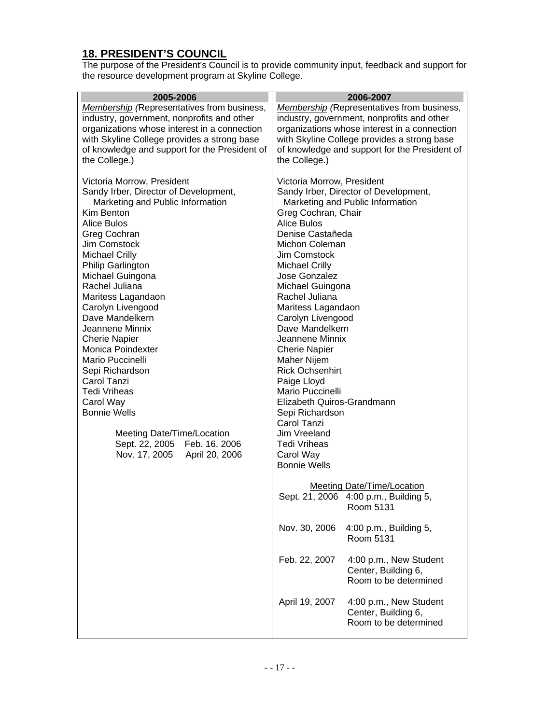# **18. PRESIDENT'S COUNCIL**

The purpose of the President's Council is to provide community input, feedback and support for the resource development program at Skyline College.

| 2005-2006<br><b>Membership</b> (Representatives from business,<br>industry, government, nonprofits and other<br>organizations whose interest in a connection<br>with Skyline College provides a strong base<br>of knowledge and support for the President of<br>the College.)                                                                                                                                                                                                                                                                                                                                | 2006-2007<br><b>Membership</b> (Representatives from business,<br>industry, government, nonprofits and other<br>organizations whose interest in a connection<br>with Skyline College provides a strong base<br>of knowledge and support for the President of<br>the College.)                                                                                                                                                                                                                                                                                                                                              |
|--------------------------------------------------------------------------------------------------------------------------------------------------------------------------------------------------------------------------------------------------------------------------------------------------------------------------------------------------------------------------------------------------------------------------------------------------------------------------------------------------------------------------------------------------------------------------------------------------------------|----------------------------------------------------------------------------------------------------------------------------------------------------------------------------------------------------------------------------------------------------------------------------------------------------------------------------------------------------------------------------------------------------------------------------------------------------------------------------------------------------------------------------------------------------------------------------------------------------------------------------|
| Victoria Morrow, President<br>Sandy Irber, Director of Development,<br>Marketing and Public Information<br>Kim Benton<br>Alice Bulos<br>Greg Cochran<br>Jim Comstock<br><b>Michael Crilly</b><br>Philip Garlington<br>Michael Guingona<br>Rachel Juliana<br>Maritess Lagandaon<br>Carolyn Livengood<br>Dave Mandelkern<br>Jeannene Minnix<br><b>Cherie Napier</b><br>Monica Poindexter<br>Mario Puccinelli<br>Sepi Richardson<br>Carol Tanzi<br><b>Tedi Vriheas</b><br>Carol Way<br><b>Bonnie Wells</b><br><b>Meeting Date/Time/Location</b><br>Sept. 22, 2005 Feb. 16, 2006<br>Nov. 17, 2005 April 20, 2006 | Victoria Morrow, President<br>Sandy Irber, Director of Development,<br>Marketing and Public Information<br>Greg Cochran, Chair<br><b>Alice Bulos</b><br>Denise Castañeda<br>Michon Coleman<br>Jim Comstock<br><b>Michael Crilly</b><br>Jose Gonzalez<br>Michael Guingona<br>Rachel Juliana<br>Maritess Lagandaon<br>Carolyn Livengood<br>Dave Mandelkern<br>Jeannene Minnix<br><b>Cherie Napier</b><br>Maher Nijem<br><b>Rick Ochsenhirt</b><br>Paige Lloyd<br>Mario Puccinelli<br>Elizabeth Quiros-Grandmann<br>Sepi Richardson<br>Carol Tanzi<br>Jim Vreeland<br><b>Tedi Vriheas</b><br>Carol Way<br><b>Bonnie Wells</b> |
|                                                                                                                                                                                                                                                                                                                                                                                                                                                                                                                                                                                                              | <b>Meeting Date/Time/Location</b><br>Sept. 21, 2006 4:00 p.m., Building 5,<br>Room 5131                                                                                                                                                                                                                                                                                                                                                                                                                                                                                                                                    |
|                                                                                                                                                                                                                                                                                                                                                                                                                                                                                                                                                                                                              | Nov. 30, 2006<br>4:00 p.m., Building 5,<br>Room 5131                                                                                                                                                                                                                                                                                                                                                                                                                                                                                                                                                                       |
|                                                                                                                                                                                                                                                                                                                                                                                                                                                                                                                                                                                                              | Feb. 22, 2007<br>4:00 p.m., New Student<br>Center, Building 6,<br>Room to be determined                                                                                                                                                                                                                                                                                                                                                                                                                                                                                                                                    |
|                                                                                                                                                                                                                                                                                                                                                                                                                                                                                                                                                                                                              | April 19, 2007<br>4:00 p.m., New Student<br>Center, Building 6,<br>Room to be determined                                                                                                                                                                                                                                                                                                                                                                                                                                                                                                                                   |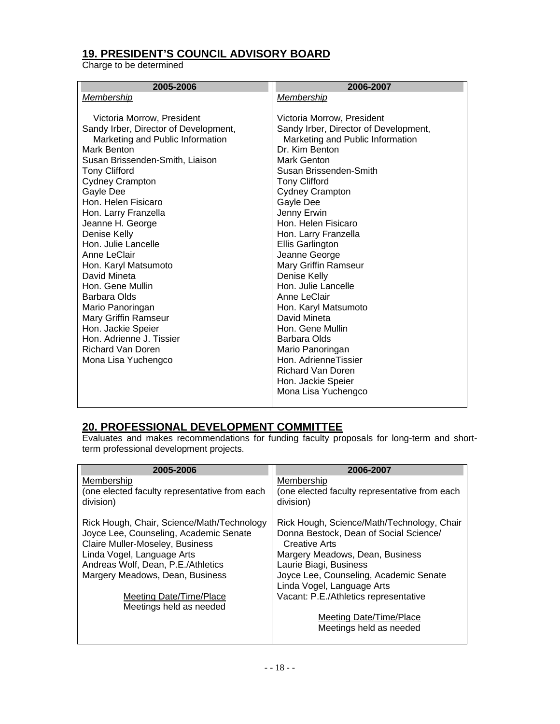# **19. PRESIDENT'S COUNCIL ADVISORY BOARD**

Charge to be determined

| 2005-2006                             | 2006-2007                             |
|---------------------------------------|---------------------------------------|
| Membership                            | Membership                            |
|                                       |                                       |
| Victoria Morrow, President            | Victoria Morrow, President            |
| Sandy Irber, Director of Development, | Sandy Irber, Director of Development, |
| Marketing and Public Information      | Marketing and Public Information      |
| Mark Benton                           | Dr. Kim Benton                        |
| Susan Brissenden-Smith, Liaison       | Mark Genton                           |
| <b>Tony Clifford</b>                  | Susan Brissenden-Smith                |
| <b>Cydney Crampton</b>                | <b>Tony Clifford</b>                  |
| Gayle Dee                             | <b>Cydney Crampton</b>                |
| Hon, Helen Fisicaro                   | Gayle Dee                             |
| Hon. Larry Franzella                  | Jenny Erwin                           |
| Jeanne H. George                      | Hon. Helen Fisicaro                   |
| Denise Kelly                          | Hon. Larry Franzella                  |
| Hon. Julie Lancelle                   | Ellis Garlington                      |
| Anne LeClair                          | Jeanne George                         |
| Hon. Karyl Matsumoto                  | Mary Griffin Ramseur                  |
| David Mineta                          | Denise Kelly                          |
| Hon. Gene Mullin                      | Hon. Julie Lancelle                   |
| <b>Barbara Olds</b>                   | Anne LeClair                          |
| Mario Panoringan                      | Hon. Karyl Matsumoto                  |
| Mary Griffin Ramseur                  | David Mineta                          |
| Hon. Jackie Speier                    | Hon. Gene Mullin                      |
| Hon, Adrienne J. Tissier              | <b>Barbara Olds</b>                   |
| Richard Van Doren                     | Mario Panoringan                      |
| Mona Lisa Yuchengco                   | Hon. AdrienneTissier                  |
|                                       | <b>Richard Van Doren</b>              |
|                                       | Hon. Jackie Speier                    |
|                                       | Mona Lisa Yuchengco                   |
|                                       |                                       |

#### **20. PROFESSIONAL DEVELOPMENT COMMITTEE**

Evaluates and makes recommendations for funding faculty proposals for long-term and shortterm professional development projects.

| 2005-2006                                                  | 2006-2007                                                  |
|------------------------------------------------------------|------------------------------------------------------------|
| Membership                                                 | Membership                                                 |
| (one elected faculty representative from each<br>division) | (one elected faculty representative from each<br>division) |
| Rick Hough, Chair, Science/Math/Technology                 | Rick Hough, Science/Math/Technology, Chair                 |
| Joyce Lee, Counseling, Academic Senate                     | Donna Bestock, Dean of Social Science/                     |
| Claire Muller-Moseley, Business                            | Creative Arts                                              |
| Linda Vogel, Language Arts                                 | Margery Meadows, Dean, Business                            |
| Andreas Wolf, Dean, P.E./Athletics                         | Laurie Biagi, Business                                     |
| Margery Meadows, Dean, Business                            | Joyce Lee, Counseling, Academic Senate                     |
|                                                            | Linda Vogel, Language Arts                                 |
| Meeting Date/Time/Place                                    | Vacant: P.E./Athletics representative                      |
| Meetings held as needed                                    |                                                            |
|                                                            | Meeting Date/Time/Place                                    |
|                                                            | Meetings held as needed                                    |
|                                                            |                                                            |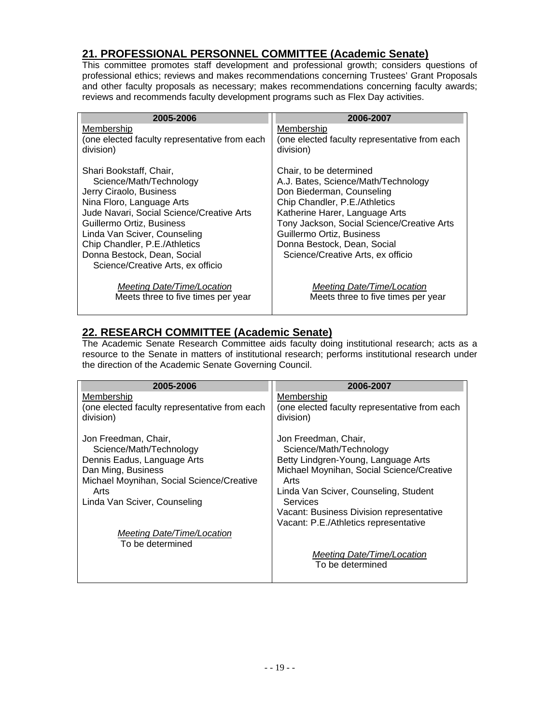#### **21. PROFESSIONAL PERSONNEL COMMITTEE (Academic Senate)**

This committee promotes staff development and professional growth; considers questions of professional ethics; reviews and makes recommendations concerning Trustees' Grant Proposals and other faculty proposals as necessary; makes recommendations concerning faculty awards; reviews and recommends faculty development programs such as Flex Day activities.

| 2005-2006                                                 | 2006-2007                                                               |
|-----------------------------------------------------------|-------------------------------------------------------------------------|
| Membership                                                | Membership                                                              |
| (one elected faculty representative from each             | (one elected faculty representative from each                           |
| division)                                                 | division)                                                               |
| Shari Bookstaff, Chair,                                   | Chair, to be determined                                                 |
| Science/Math/Technology                                   | A.J. Bates, Science/Math/Technology                                     |
| Jerry Ciraolo, Business                                   | Don Biederman, Counseling                                               |
| Nina Floro, Language Arts                                 | Chip Chandler, P.E./Athletics                                           |
| Jude Navari, Social Science/Creative Arts                 | Katherine Harer, Language Arts                                          |
| Guillermo Ortiz, Business<br>Linda Van Sciver, Counseling | Tony Jackson, Social Science/Creative Arts<br>Guillermo Ortiz, Business |
| Chip Chandler, P.E./Athletics                             | Donna Bestock, Dean, Social                                             |
| Donna Bestock, Dean, Social                               | Science/Creative Arts, ex officio                                       |
| Science/Creative Arts, ex officio                         |                                                                         |
| Meeting Date/Time/Location                                | Meeting Date/Time/Location                                              |
| Meets three to five times per year                        | Meets three to five times per year                                      |

#### **22. RESEARCH COMMITTEE (Academic Senate)**

The Academic Senate Research Committee aids faculty doing institutional research; acts as a resource to the Senate in matters of institutional research; performs institutional research under the direction of the Academic Senate Governing Council.

| 2005-2006                                     | 2006-2007                                     |
|-----------------------------------------------|-----------------------------------------------|
| Membership                                    | Membership                                    |
| (one elected faculty representative from each | (one elected faculty representative from each |
| division)                                     | division)                                     |
| Jon Freedman, Chair,                          | Jon Freedman, Chair,                          |
| Science/Math/Technology                       | Science/Math/Technology                       |
| Dennis Eadus, Language Arts                   | Betty Lindgren-Young, Language Arts           |
| Dan Ming, Business                            | Michael Moynihan, Social Science/Creative     |
| Michael Moynihan, Social Science/Creative     | Arts                                          |
| Arts                                          | Linda Van Sciver, Counseling, Student         |
| Linda Van Sciver, Counseling                  | <b>Services</b>                               |
|                                               | Vacant: Business Division representative      |
|                                               | Vacant: P.E./Athletics representative         |
| Meeting Date/Time/Location                    |                                               |
| To be determined                              |                                               |
|                                               | <b>Meeting Date/Time/Location</b>             |
|                                               | To be determined                              |
|                                               |                                               |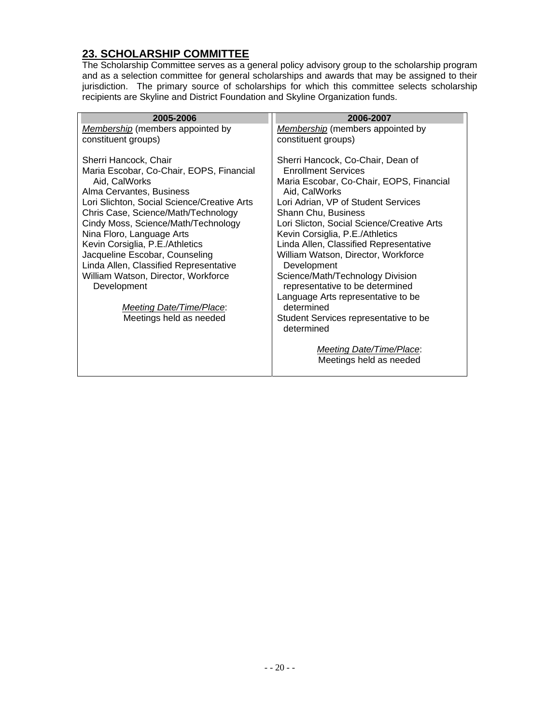# **23. SCHOLARSHIP COMMITTEE**

The Scholarship Committee serves as a general policy advisory group to the scholarship program and as a selection committee for general scholarships and awards that may be assigned to their jurisdiction. The primary source of scholarships for which this committee selects scholarship recipients are Skyline and District Foundation and Skyline Organization funds.

| 2005-2006                                                                                                                                                                                                                                                                                                                                                                                                                                                                                                   | 2006-2007                                                                                                                                                                                                                                                                                                                                                                                                                                                                                                                                                                                                            |
|-------------------------------------------------------------------------------------------------------------------------------------------------------------------------------------------------------------------------------------------------------------------------------------------------------------------------------------------------------------------------------------------------------------------------------------------------------------------------------------------------------------|----------------------------------------------------------------------------------------------------------------------------------------------------------------------------------------------------------------------------------------------------------------------------------------------------------------------------------------------------------------------------------------------------------------------------------------------------------------------------------------------------------------------------------------------------------------------------------------------------------------------|
| Membership (members appointed by                                                                                                                                                                                                                                                                                                                                                                                                                                                                            | <b>Membership</b> (members appointed by                                                                                                                                                                                                                                                                                                                                                                                                                                                                                                                                                                              |
| constituent groups)                                                                                                                                                                                                                                                                                                                                                                                                                                                                                         | constituent groups)                                                                                                                                                                                                                                                                                                                                                                                                                                                                                                                                                                                                  |
| Sherri Hancock, Chair<br>Maria Escobar, Co-Chair, EOPS, Financial<br>Aid, CalWorks<br>Alma Cervantes, Business<br>Lori Slichton, Social Science/Creative Arts<br>Chris Case, Science/Math/Technology<br>Cindy Moss, Science/Math/Technology<br>Nina Floro, Language Arts<br>Kevin Corsiglia, P.E./Athletics<br>Jacqueline Escobar, Counseling<br>Linda Allen, Classified Representative<br>William Watson, Director, Workforce<br>Development<br><b>Meeting Date/Time/Place:</b><br>Meetings held as needed | Sherri Hancock, Co-Chair, Dean of<br><b>Enrollment Services</b><br>Maria Escobar, Co-Chair, EOPS, Financial<br>Aid, CalWorks<br>Lori Adrian, VP of Student Services<br>Shann Chu, Business<br>Lori Slicton, Social Science/Creative Arts<br>Kevin Corsiglia, P.E./Athletics<br>Linda Allen, Classified Representative<br>William Watson, Director, Workforce<br>Development<br>Science/Math/Technology Division<br>representative to be determined<br>Language Arts representative to be<br>determined<br>Student Services representative to be<br>determined<br>Meeting Date/Time/Place:<br>Meetings held as needed |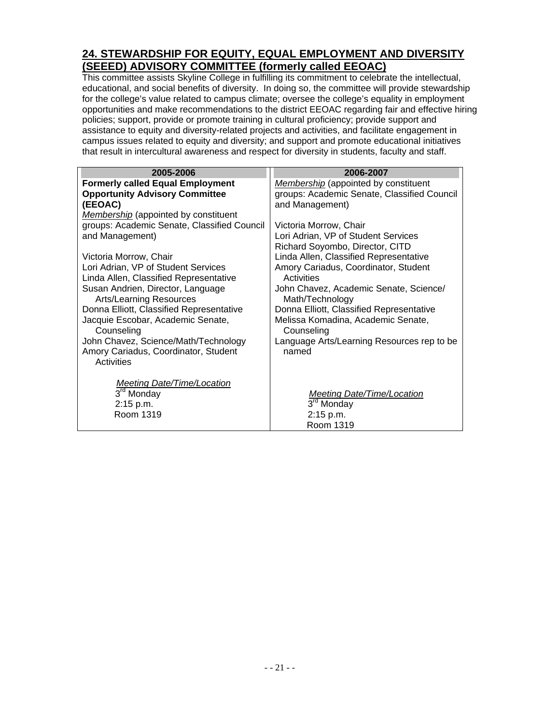#### **24. STEWARDSHIP FOR EQUITY, EQUAL EMPLOYMENT AND DIVERSITY (SEEED) ADVISORY COMMITTEE (formerly called EEOAC)**

This committee assists Skyline College in fulfilling its commitment to celebrate the intellectual, educational, and social benefits of diversity. In doing so, the committee will provide stewardship for the college's value related to campus climate; oversee the college's equality in employment opportunities and make recommendations to the district EEOAC regarding fair and effective hiring policies; support, provide or promote training in cultural proficiency; provide support and assistance to equity and diversity-related projects and activities, and facilitate engagement in campus issues related to equity and diversity; and support and promote educational initiatives that result in intercultural awareness and respect for diversity in students, faculty and staff.

| 2005-2006                                   | 2006-2007                                   |
|---------------------------------------------|---------------------------------------------|
| <b>Formerly called Equal Employment</b>     | Membership (appointed by constituent        |
| <b>Opportunity Advisory Committee</b>       | groups: Academic Senate, Classified Council |
| (EEOAC)                                     | and Management)                             |
| <b>Membership</b> (appointed by constituent |                                             |
| groups: Academic Senate, Classified Council | Victoria Morrow, Chair                      |
| and Management)                             | Lori Adrian, VP of Student Services         |
|                                             | Richard Soyombo, Director, CITD             |
| Victoria Morrow, Chair                      | Linda Allen, Classified Representative      |
| Lori Adrian, VP of Student Services         | Amory Cariadus, Coordinator, Student        |
| Linda Allen, Classified Representative      | Activities                                  |
| Susan Andrien, Director, Language           | John Chavez, Academic Senate, Science/      |
| <b>Arts/Learning Resources</b>              | Math/Technology                             |
| Donna Elliott, Classified Representative    | Donna Elliott, Classified Representative    |
| Jacquie Escobar, Academic Senate,           | Melissa Komadina, Academic Senate,          |
| Counseling                                  | Counseling                                  |
| John Chavez, Science/Math/Technology        | Language Arts/Learning Resources rep to be  |
| Amory Cariadus, Coordinator, Student        | named                                       |
| Activities                                  |                                             |
|                                             |                                             |
| <b>Meeting Date/Time/Location</b>           |                                             |
| 3 <sup>rd</sup> Monday                      | <b>Meeting Date/Time/Location</b>           |
| 2:15 p.m.                                   | 3 <sup>rd</sup> Monday                      |
| Room 1319                                   | 2:15 p.m.                                   |
|                                             | Room 1319                                   |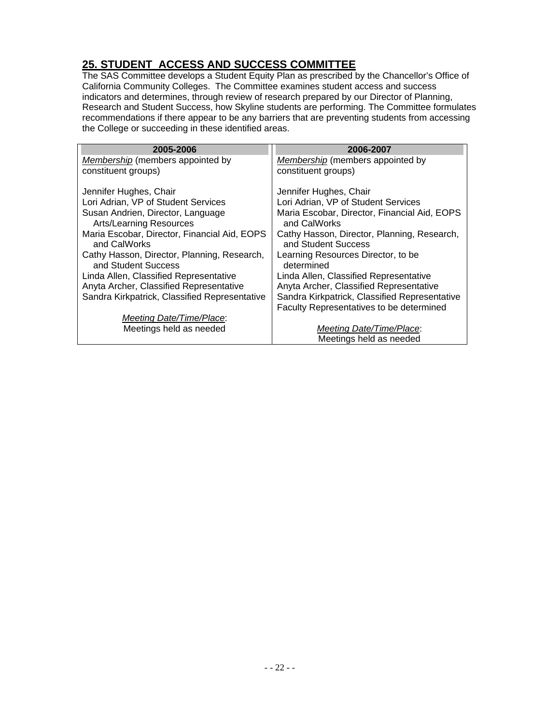# **25. STUDENT ACCESS AND SUCCESS COMMITTEE**

The SAS Committee develops a Student Equity Plan as prescribed by the Chancellor's Office of California Community Colleges. The Committee examines student access and success indicators and determines, through review of research prepared by our Director of Planning, Research and Student Success, how Skyline students are performing. The Committee formulates recommendations if there appear to be any barriers that are preventing students from accessing the College or succeeding in these identified areas.

| 2005-2006                                                           | 2006-2007                                                          |
|---------------------------------------------------------------------|--------------------------------------------------------------------|
| Membership (members appointed by                                    | Membership (members appointed by                                   |
| constituent groups)                                                 | constituent groups)                                                |
| Jennifer Hughes, Chair                                              | Jennifer Hughes, Chair                                             |
| Lori Adrian, VP of Student Services                                 | Lori Adrian, VP of Student Services                                |
| Susan Andrien, Director, Language<br><b>Arts/Learning Resources</b> | Maria Escobar, Director, Financial Aid, EOPS<br>and CalWorks       |
| Maria Escobar, Director, Financial Aid, EOPS<br>and CalWorks        | Cathy Hasson, Director, Planning, Research,<br>and Student Success |
| Cathy Hasson, Director, Planning, Research,<br>and Student Success  | Learning Resources Director, to be<br>determined                   |
| Linda Allen, Classified Representative                              | Linda Allen, Classified Representative                             |
| Anyta Archer, Classified Representative                             | Anyta Archer, Classified Representative                            |
| Sandra Kirkpatrick, Classified Representative                       | Sandra Kirkpatrick, Classified Representative                      |
|                                                                     | Faculty Representatives to be determined                           |
| Meeting Date/Time/Place:                                            |                                                                    |
| Meetings held as needed                                             | <b>Meeting Date/Time/Place:</b>                                    |
|                                                                     | Meetings held as needed                                            |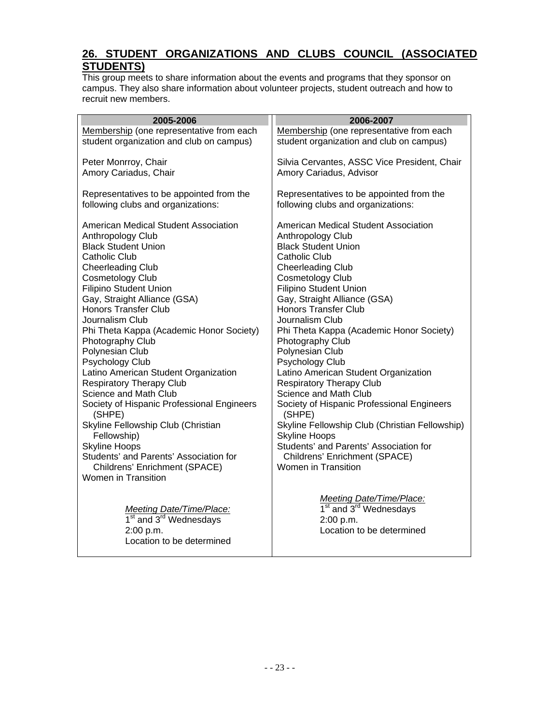# **26. STUDENT ORGANIZATIONS AND CLUBS COUNCIL (ASSOCIATED STUDENTS)**

This group meets to share information about the events and programs that they sponsor on campus. They also share information about volunteer projects, student outreach and how to recruit new members.

| 2005-2006                                                   | 2006-2007                                            |
|-------------------------------------------------------------|------------------------------------------------------|
| Membership (one representative from each                    | Membership (one representative from each             |
| student organization and club on campus)                    | student organization and club on campus)             |
| Peter Monrroy, Chair                                        | Silvia Cervantes, ASSC Vice President, Chair         |
| Amory Cariadus, Chair                                       | Amory Cariadus, Advisor                              |
| Representatives to be appointed from the                    | Representatives to be appointed from the             |
| following clubs and organizations:                          | following clubs and organizations:                   |
| American Medical Student Association                        | American Medical Student Association                 |
| Anthropology Club                                           | Anthropology Club                                    |
| <b>Black Student Union</b>                                  | <b>Black Student Union</b>                           |
| <b>Catholic Club</b>                                        | <b>Catholic Club</b>                                 |
| <b>Cheerleading Club</b>                                    | <b>Cheerleading Club</b>                             |
| <b>Cosmetology Club</b>                                     | <b>Cosmetology Club</b>                              |
| <b>Filipino Student Union</b>                               | <b>Filipino Student Union</b>                        |
| Gay, Straight Alliance (GSA)                                | Gay, Straight Alliance (GSA)                         |
| <b>Honors Transfer Club</b><br>Journalism Club              | <b>Honors Transfer Club</b><br>Journalism Club       |
| Phi Theta Kappa (Academic Honor Society)                    | Phi Theta Kappa (Academic Honor Society)             |
| Photography Club                                            | Photography Club                                     |
| Polynesian Club                                             | Polynesian Club                                      |
| Psychology Club                                             | Psychology Club                                      |
| Latino American Student Organization                        | Latino American Student Organization                 |
| <b>Respiratory Therapy Club</b>                             | <b>Respiratory Therapy Club</b>                      |
| Science and Math Club                                       | Science and Math Club                                |
| Society of Hispanic Professional Engineers<br>(SHPE)        | Society of Hispanic Professional Engineers<br>(SHPE) |
| Skyline Fellowship Club (Christian                          | Skyline Fellowship Club (Christian Fellowship)       |
| Fellowship)                                                 | <b>Skyline Hoops</b>                                 |
| <b>Skyline Hoops</b>                                        | Students' and Parents' Association for               |
| Students' and Parents' Association for                      | Childrens' Enrichment (SPACE)                        |
| Childrens' Enrichment (SPACE)<br><b>Women in Transition</b> | Women in Transition                                  |
|                                                             |                                                      |
|                                                             | Meeting Date/Time/Place:                             |
| <b>Meeting Date/Time/Place:</b>                             | 1 <sup>st</sup> and 3 <sup>rd</sup> Wednesdays       |
| 1 <sup>st</sup> and 3 <sup>rd</sup> Wednesdays              | 2:00 p.m.                                            |
| 2:00 p.m.                                                   | Location to be determined                            |
| Location to be determined                                   |                                                      |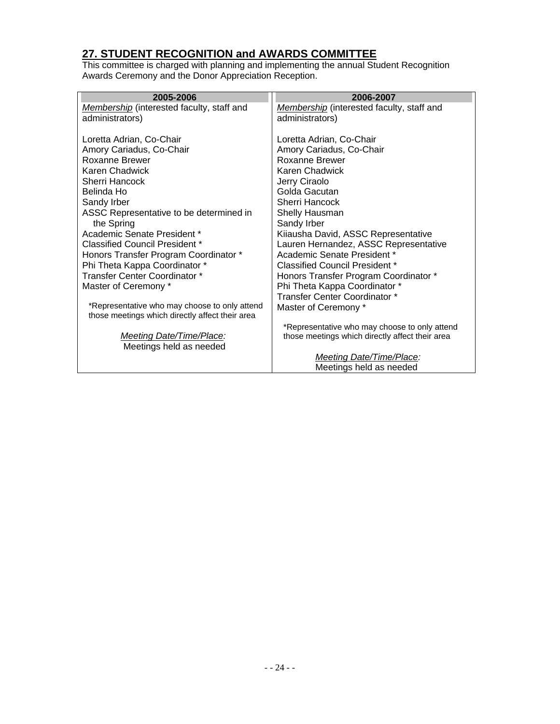# **27. STUDENT RECOGNITION and AWARDS COMMITTEE**

This committee is charged with planning and implementing the annual Student Recognition Awards Ceremony and the Donor Appreciation Reception.

| 2005-2006                                       | 2006-2007                                       |
|-------------------------------------------------|-------------------------------------------------|
| Membership (interested faculty, staff and       | Membership (interested faculty, staff and       |
| administrators)                                 | administrators)                                 |
|                                                 |                                                 |
| Loretta Adrian, Co-Chair                        | Loretta Adrian, Co-Chair                        |
| Amory Cariadus, Co-Chair                        | Amory Cariadus, Co-Chair                        |
| Roxanne Brewer                                  | Roxanne Brewer                                  |
| Karen Chadwick                                  | Karen Chadwick                                  |
| Sherri Hancock                                  | Jerry Ciraolo                                   |
| Belinda Ho                                      | Golda Gacutan                                   |
| Sandy Irber                                     | Sherri Hancock                                  |
| ASSC Representative to be determined in         | Shelly Hausman                                  |
| the Spring                                      | Sandy Irber                                     |
| Academic Senate President *                     | Kiiausha David, ASSC Representative             |
| Classified Council President *                  | Lauren Hernandez, ASSC Representative           |
| Honors Transfer Program Coordinator *           | Academic Senate President *                     |
| Phi Theta Kappa Coordinator *                   | Classified Council President *                  |
| Transfer Center Coordinator *                   | Honors Transfer Program Coordinator *           |
| Master of Ceremony *                            | Phi Theta Kappa Coordinator *                   |
|                                                 | Transfer Center Coordinator *                   |
| *Representative who may choose to only attend   | Master of Ceremony *                            |
| those meetings which directly affect their area |                                                 |
|                                                 | *Representative who may choose to only attend   |
| <b>Meeting Date/Time/Place:</b>                 | those meetings which directly affect their area |
| Meetings held as needed                         |                                                 |
|                                                 | Meeting Date/Time/Place:                        |
|                                                 | Meetings held as needed                         |